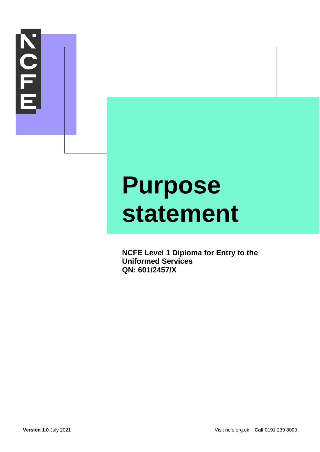

# **Purpose statement**

**NCFE Level 1 Diploma for Entry to the Uniformed Services QN: 601/2457/X**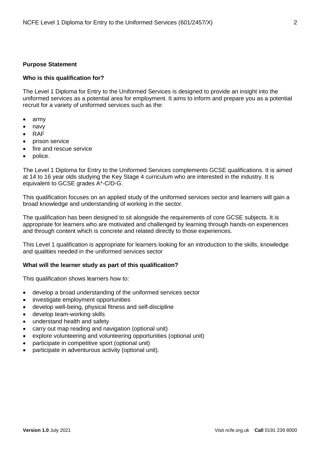## **Purpose Statement**

## **Who is this qualification for?**

The Level 1 Diploma for Entry to the Uniformed Services is designed to provide an insight into the uniformed services as a potential area for employment. It aims to inform and prepare you as a potential recruit for a variety of uniformed services such as the:

- army
- navy
- RAF
- prison service
- fire and rescue service
- police.

The Level 1 Diploma for Entry to the Uniformed Services complements GCSE qualifications. It is aimed at 14 to 16 year olds studying the Key Stage 4 curriculum who are interested in the industry. It is equivalent to GCSE grades A\*-C/D-G.

This qualification focuses on an applied study of the uniformed services sector and learners will gain a broad knowledge and understanding of working in the sector.

The qualification has been designed to sit alongside the requirements of core GCSE subjects. It is appropriate for learners who are motivated and challenged by learning through hands-on experiences and through content which is concrete and related directly to those experiences.

This Level 1 qualification is appropriate for learners looking for an introduction to the skills, knowledge and qualities needed in the uniformed services sector

## **What will the learner study as part of this qualification?**

This qualification shows learners how to:

- develop a broad understanding of the uniformed services sector
- investigate employment opportunities
- develop well-being, physical fitness and self-discipline
- develop team-working skills
- understand health and safety
- carry out map reading and navigation (optional unit)
- explore volunteering and volunteering opportunities (optional unit)
- participate in competitive sport (optional unit)
- participate in adventurous activity (optional unit).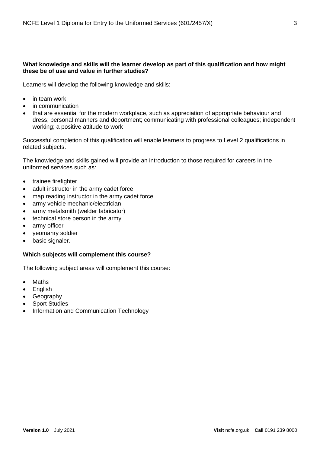# **What knowledge and skills will the learner develop as part of this qualification and how might these be of use and value in further studies?**

Learners will develop the following knowledge and skills:

- in team work
- in communication
- that are essential for the modern workplace, such as appreciation of appropriate behaviour and dress; personal manners and deportment; communicating with professional colleagues; independent working; a positive attitude to work

Successful completion of this qualification will enable learners to progress to Level 2 qualifications in related subjects.

The knowledge and skills gained will provide an introduction to those required for careers in the uniformed services such as:

- trainee firefighter
- adult instructor in the army cadet force
- map reading instructor in the army cadet force
- army vehicle mechanic/electrician
- army metalsmith (welder fabricator)
- technical store person in the army
- army officer
- yeomanry soldier
- basic signaler.

## **Which subjects will complement this course?**

The following subject areas will complement this course:

- Maths
- English
- Geography
- Sport Studies
- Information and Communication Technology